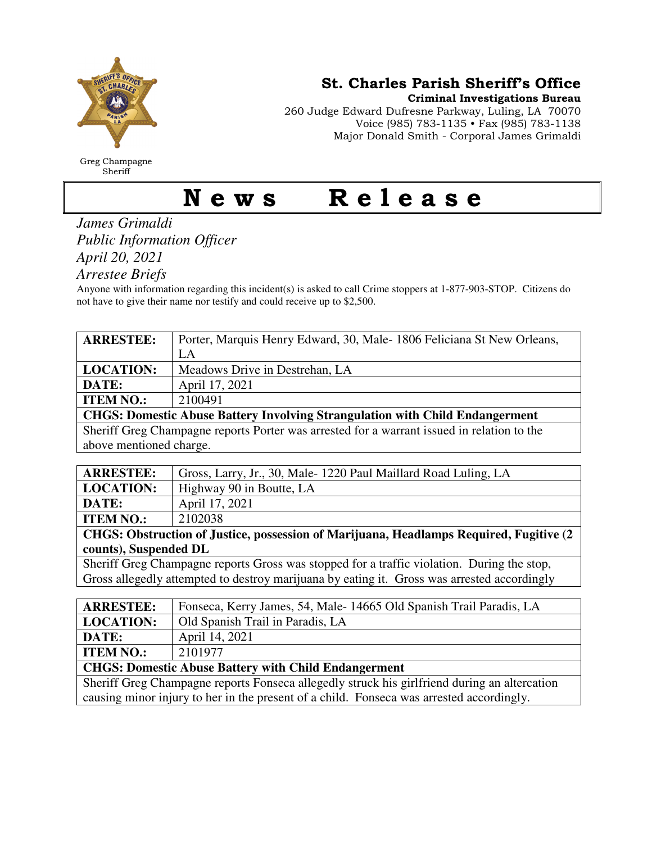

Greg Champagne Sheriff

St. Charles Parish Sheriff's Office

Criminal Investigations Bureau

260 Judge Edward Dufresne Parkway, Luling, LA 70070 Voice (985) 783-1135 • Fax (985) 783-1138 Major Donald Smith - Corporal James Grimaldi

## News Release

*James Grimaldi Public Information Officer April 20, 2021* 

*Arrestee Briefs* 

Anyone with information regarding this incident(s) is asked to call Crime stoppers at 1-877-903-STOP. Citizens do not have to give their name nor testify and could receive up to \$2,500.

| <b>ARRESTEE:</b>                                                                           | Porter, Marquis Henry Edward, 30, Male-1806 Feliciana St New Orleans, |
|--------------------------------------------------------------------------------------------|-----------------------------------------------------------------------|
|                                                                                            | LA                                                                    |
| <b>LOCATION:</b>                                                                           | Meadows Drive in Destrehan, LA                                        |
| DATE:                                                                                      | April 17, 2021                                                        |
| <b>ITEM NO.:</b>                                                                           | 2100491                                                               |
| <b>CHGS: Domestic Abuse Battery Involving Strangulation with Child Endangerment</b>        |                                                                       |
| Sheriff Greg Champagne reports Porter was arrested for a warrant issued in relation to the |                                                                       |
| above mentioned charge.                                                                    |                                                                       |

| <b>ARRESTEE:</b>                                                                        | Gross, Larry, Jr., 30, Male-1220 Paul Maillard Road Luling, LA |  |
|-----------------------------------------------------------------------------------------|----------------------------------------------------------------|--|
| <b>LOCATION:</b>                                                                        | Highway 90 in Boutte, LA                                       |  |
| DATE:                                                                                   | April 17, 2021                                                 |  |
| <b>ITEM NO.:</b>                                                                        | 2102038                                                        |  |
| CHGS: Obstruction of Justice, possession of Marijuana, Headlamps Required, Fugitive (2) |                                                                |  |
| counts), Suspended DL                                                                   |                                                                |  |

Sheriff Greg Champagne reports Gross was stopped for a traffic violation. During the stop, Gross allegedly attempted to destroy marijuana by eating it. Gross was arrested accordingly

| <b>ARRESTEE:</b>                                                                             | Fonseca, Kerry James, 54, Male-14665 Old Spanish Trail Paradis, LA |  |
|----------------------------------------------------------------------------------------------|--------------------------------------------------------------------|--|
| <b>LOCATION:</b>                                                                             | Old Spanish Trail in Paradis, LA                                   |  |
| DATE:                                                                                        | April 14, 2021                                                     |  |
| <b>ITEM NO.:</b>                                                                             | 2101977                                                            |  |
| <b>CHGS: Domestic Abuse Battery with Child Endangerment</b>                                  |                                                                    |  |
| Sheriff Greg Champagne reports Fonseca allegedly struck his girlfriend during an altercation |                                                                    |  |
| causing minor injury to her in the present of a child. Fonseca was arrested accordingly.     |                                                                    |  |